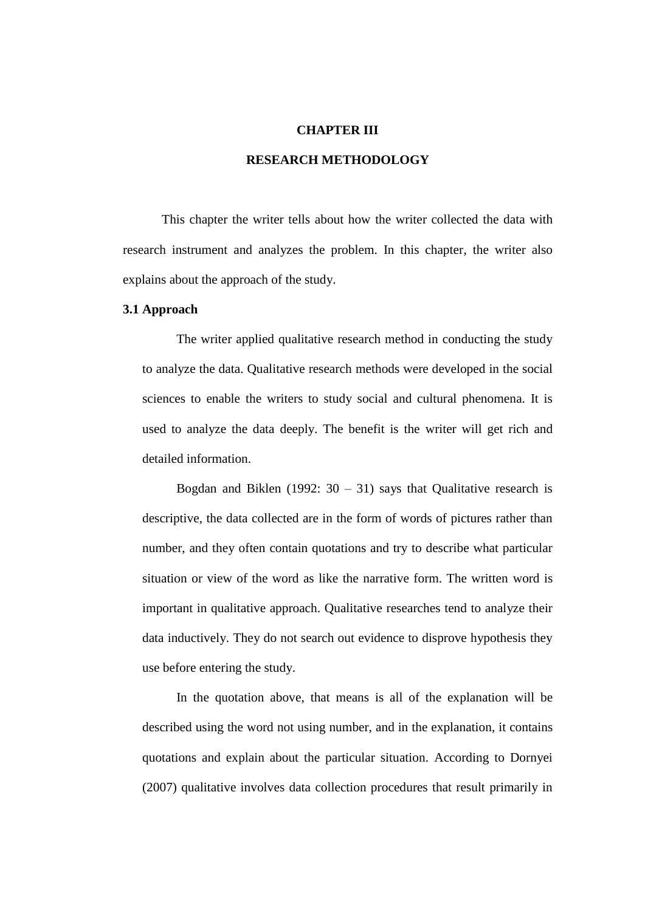#### **CHAPTER III**

## **RESEARCH METHODOLOGY**

This chapter the writer tells about how the writer collected the data with research instrument and analyzes the problem. In this chapter, the writer also explains about the approach of the study.

#### **3.1 Approach**

The writer applied qualitative research method in conducting the study to analyze the data. Qualitative research methods were developed in the social sciences to enable the writers to study social and cultural phenomena. It is used to analyze the data deeply. The benefit is the writer will get rich and detailed information.

Bogdan and Biklen (1992:  $30 - 31$ ) says that Qualitative research is descriptive, the data collected are in the form of words of pictures rather than number, and they often contain quotations and try to describe what particular situation or view of the word as like the narrative form. The written word is important in qualitative approach. Qualitative researches tend to analyze their data inductively. They do not search out evidence to disprove hypothesis they use before entering the study.

In the quotation above, that means is all of the explanation will be described using the word not using number, and in the explanation, it contains quotations and explain about the particular situation. According to Dornyei (2007) qualitative involves data collection procedures that result primarily in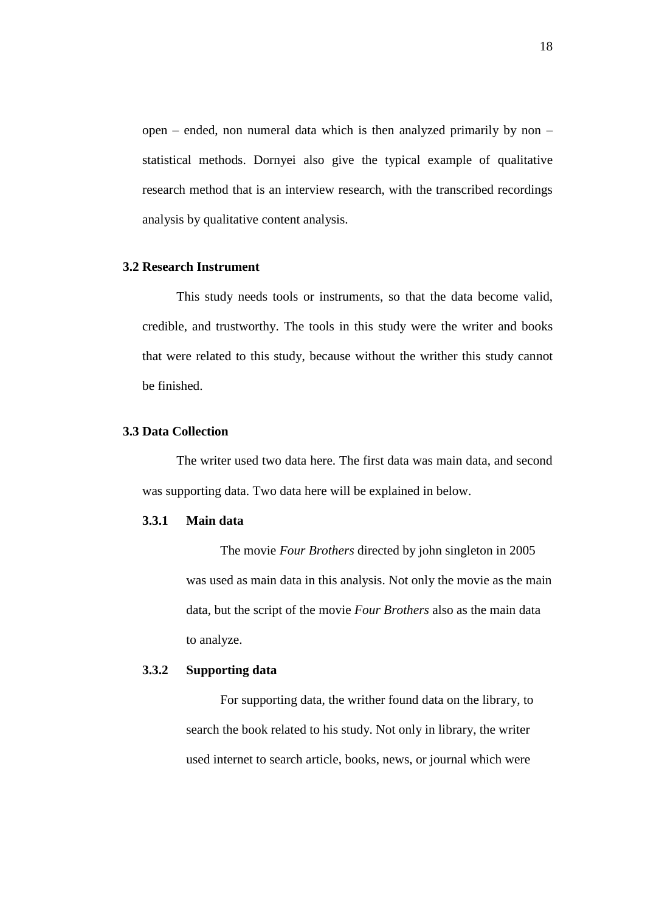open – ended, non numeral data which is then analyzed primarily by non – statistical methods. Dornyei also give the typical example of qualitative research method that is an interview research, with the transcribed recordings analysis by qualitative content analysis.

## **3.2 Research Instrument**

This study needs tools or instruments, so that the data become valid, credible, and trustworthy. The tools in this study were the writer and books that were related to this study, because without the writher this study cannot be finished.

#### **3.3 Data Collection**

The writer used two data here. The first data was main data, and second was supporting data. Two data here will be explained in below.

## **3.3.1 Main data**

The movie *Four Brothers* directed by john singleton in 2005 was used as main data in this analysis. Not only the movie as the main data, but the script of the movie *Four Brothers* also as the main data to analyze.

## **3.3.2 Supporting data**

For supporting data, the writher found data on the library, to search the book related to his study. Not only in library, the writer used internet to search article, books, news, or journal which were